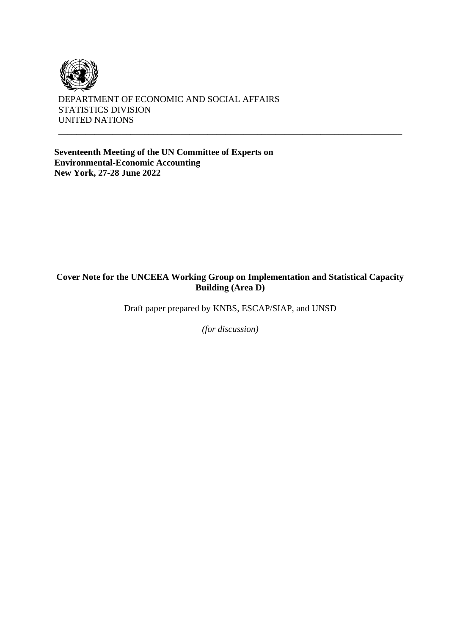

DEPARTMENT OF ECONOMIC AND SOCIAL AFFAIRS STATISTICS DIVISION UNITED NATIONS

**Seventeenth Meeting of the UN Committee of Experts on Environmental-Economic Accounting New York, 27-28 June 2022**

#### **Cover Note for the UNCEEA Working Group on Implementation and Statistical Capacity Building (Area D)**

\_\_\_\_\_\_\_\_\_\_\_\_\_\_\_\_\_\_\_\_\_\_\_\_\_\_\_\_\_\_\_\_\_\_\_\_\_\_\_\_\_\_\_\_\_\_\_\_\_\_\_\_\_\_\_\_\_\_\_\_\_\_\_\_\_\_\_\_\_\_\_\_\_\_\_\_

Draft paper prepared by KNBS, ESCAP/SIAP, and UNSD

*(for discussion)*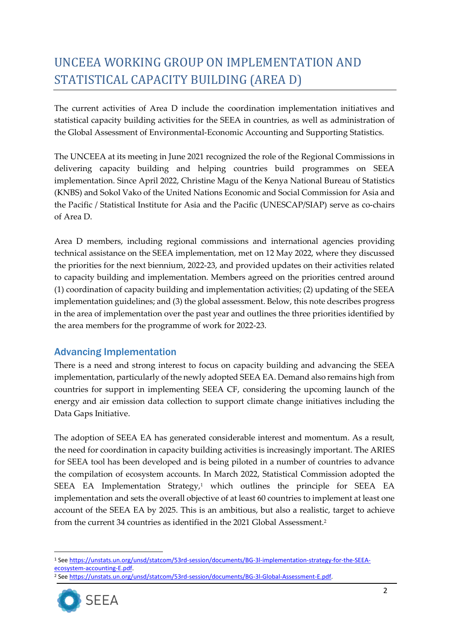# UNCEEA WORKING GROUP ON IMPLEMENTATION AND STATISTICAL CAPACITY BUILDING (AREA D)

The current activities of Area D include the coordination implementation initiatives and statistical capacity building activities for the SEEA in countries, as well as administration of the Global Assessment of Environmental-Economic Accounting and Supporting Statistics.

The UNCEEA at its meeting in June 2021 recognized the role of the Regional Commissions in delivering capacity building and helping countries build programmes on SEEA implementation. Since April 2022, Christine Magu of the Kenya National Bureau of Statistics (KNBS) and Sokol Vako of the United Nations Economic and Social Commission for Asia and the Pacific / Statistical Institute for Asia and the Pacific (UNESCAP/SIAP) serve as co-chairs of Area D.

Area D members, including regional commissions and international agencies providing technical assistance on the SEEA implementation, met on 12 May 2022, where they discussed the priorities for the next biennium, 2022-23, and provided updates on their activities related to capacity building and implementation. Members agreed on the priorities centred around (1) coordination of capacity building and implementation activities; (2) updating of the SEEA implementation guidelines; and (3) the global assessment. Below, this note describes progress in the area of implementation over the past year and outlines the three priorities identified by the area members for the programme of work for 2022-23.

### Advancing Implementation

There is a need and strong interest to focus on capacity building and advancing the SEEA implementation, particularly of the newly adopted SEEA EA. Demand also remains high from countries for support in implementing SEEA CF, considering the upcoming launch of the energy and air emission data collection to support climate change initiatives including the Data Gaps Initiative.

The adoption of SEEA EA has generated considerable interest and momentum. As a result, the need for coordination in capacity building activities is increasingly important. The ARIES for SEEA tool has been developed and is being piloted in a number of countries to advance the compilation of ecosystem accounts. In March 2022, Statistical Commission adopted the SEEA EA Implementation Strategy,<sup>1</sup> which outlines the principle for SEEA EA implementation and sets the overall objective of at least 60 countries to implement at least one account of the SEEA EA by 2025. This is an ambitious, but also a realistic, target to achieve from the current 34 countries as identified in the 2021 Global Assessment.<sup>2</sup>

<sup>&</sup>lt;sup>2</sup> See https://unstats.un.org/unsd/statcom/53rd-session/documents/BG-3l-Global-Assessment-E.pdf.



<sup>1</sup> Se[e https://unstats.un.org/unsd/statcom/53rd-session/documents/BG-3l-implementation-strategy-for-the-SEEA](https://unstats.un.org/unsd/statcom/53rd-session/documents/BG-3l-implementation-strategy-for-the-SEEA-ecosystem-accounting-E.pdf)[ecosystem-accounting-E.pdf.](https://unstats.un.org/unsd/statcom/53rd-session/documents/BG-3l-implementation-strategy-for-the-SEEA-ecosystem-accounting-E.pdf)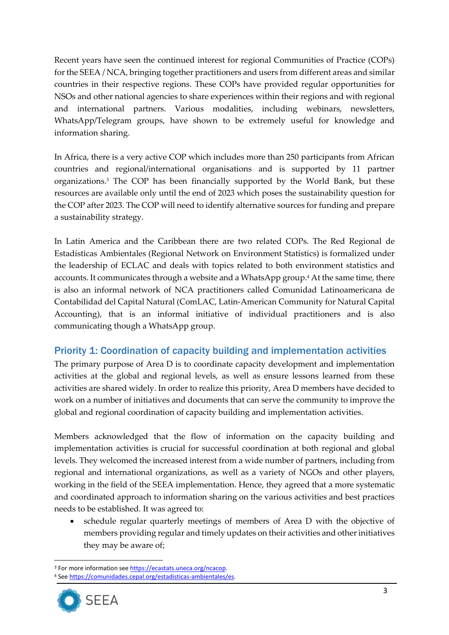Recent years have seen the continued interest for regional Communities of Practice (COPs) for the SEEA / NCA, bringing together practitioners and users from different areas and similar countries in their respective regions. These COPs have provided regular opportunities for NSOs and other national agencies to share experiences within their regions and with regional and international partners. Various modalities, including webinars, newsletters, WhatsApp/Telegram groups, have shown to be extremely useful for knowledge and information sharing.

In Africa, there is a very active COP which includes more than 250 participants from African countries and regional/international organisations and is supported by 11 partner organizations.<sup>3</sup> The COP has been financially supported by the World Bank, but these resources are available only until the end of 2023 which poses the sustainability question for the COP after 2023. The COP will need to identify alternative sources for funding and prepare a sustainability strategy.

In Latin America and the Caribbean there are two related COPs. The Red Regional de Estadísticas Ambientales (Regional Network on Environment Statistics) is formalized under the leadership of ECLAC and deals with topics related to both environment statistics and accounts. It communicates through a website and a WhatsApp group.<sup>4</sup> At the same time, there is also an informal network of NCA practitioners called Comunidad Latinoamericana de Contabilidad del Capital Natural (ComLAC, Latin-American Community for Natural Capital Accounting), that is an informal initiative of individual practitioners and is also communicating though a WhatsApp group.

### Priority 1: Coordination of capacity building and implementation activities

The primary purpose of Area D is to coordinate capacity development and implementation activities at the global and regional levels, as well as ensure lessons learned from these activities are shared widely. In order to realize this priority, Area D members have decided to work on a number of initiatives and documents that can serve the community to improve the global and regional coordination of capacity building and implementation activities.

Members acknowledged that the flow of information on the capacity building and implementation activities is crucial for successful coordination at both regional and global levels. They welcomed the increased interest from a wide number of partners, including from regional and international organizations, as well as a variety of NGOs and other players, working in the field of the SEEA implementation. Hence, they agreed that a more systematic and coordinated approach to information sharing on the various activities and best practices needs to be established. It was agreed to:

• schedule regular quarterly meetings of members of Area D with the objective of members providing regular and timely updates on their activities and other initiatives they may be aware of;

<sup>4</sup> Se[e https://comunidades.cepal.org/estadisticas-ambientales/es.](https://comunidades.cepal.org/estadisticas-ambientales/es) 



<sup>3</sup> For more information se[e https://ecastats.uneca.org/ncacop.](https://ecastats.uneca.org/ncacop)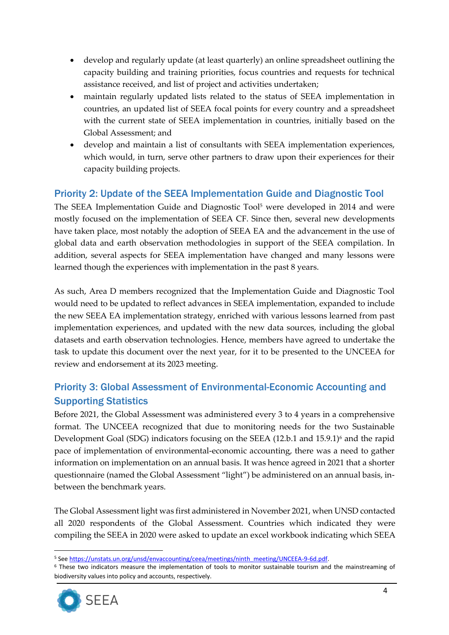- develop and regularly update (at least quarterly) an online spreadsheet outlining the capacity building and training priorities, focus countries and requests for technical assistance received, and list of project and activities undertaken;
- maintain regularly updated lists related to the status of SEEA implementation in countries, an updated list of SEEA focal points for every country and a spreadsheet with the current state of SEEA implementation in countries, initially based on the Global Assessment; and
- develop and maintain a list of consultants with SEEA implementation experiences, which would, in turn, serve other partners to draw upon their experiences for their capacity building projects.

# Priority 2: Update of the SEEA Implementation Guide and Diagnostic Tool

The SEEA Implementation Guide and Diagnostic Tool<sup>5</sup> were developed in 2014 and were mostly focused on the implementation of SEEA CF. Since then, several new developments have taken place, most notably the adoption of SEEA EA and the advancement in the use of global data and earth observation methodologies in support of the SEEA compilation. In addition, several aspects for SEEA implementation have changed and many lessons were learned though the experiences with implementation in the past 8 years.

As such, Area D members recognized that the Implementation Guide and Diagnostic Tool would need to be updated to reflect advances in SEEA implementation, expanded to include the new SEEA EA implementation strategy, enriched with various lessons learned from past implementation experiences, and updated with the new data sources, including the global datasets and earth observation technologies. Hence, members have agreed to undertake the task to update this document over the next year, for it to be presented to the UNCEEA for review and endorsement at its 2023 meeting.

# Priority 3: Global Assessment of Environmental-Economic Accounting and Supporting Statistics

Before 2021, the Global Assessment was administered every 3 to 4 years in a comprehensive format. The UNCEEA recognized that due to monitoring needs for the two Sustainable Development Goal (SDG) indicators focusing on the SEEA (12.b.1 and 15.9.1)<sup>6</sup> and the rapid pace of implementation of environmental-economic accounting, there was a need to gather information on implementation on an annual basis. It was hence agreed in 2021 that a shorter questionnaire (named the Global Assessment "light") be administered on an annual basis, inbetween the benchmark years.

The Global Assessment light was first administered in November 2021, when UNSD contacted all 2020 respondents of the Global Assessment. Countries which indicated they were compiling the SEEA in 2020 were asked to update an excel workbook indicating which SEEA

<sup>6</sup> These two indicators measure the implementation of tools to monitor sustainable tourism and the mainstreaming of biodiversity values into policy and accounts, respectively.



<sup>5</sup> Se[e https://unstats.un.org/unsd/envaccounting/ceea/meetings/ninth\\_meeting/UNCEEA-9-6d.pdf.](https://unstats.un.org/unsd/envaccounting/ceea/meetings/ninth_meeting/UNCEEA-9-6d.pdf)